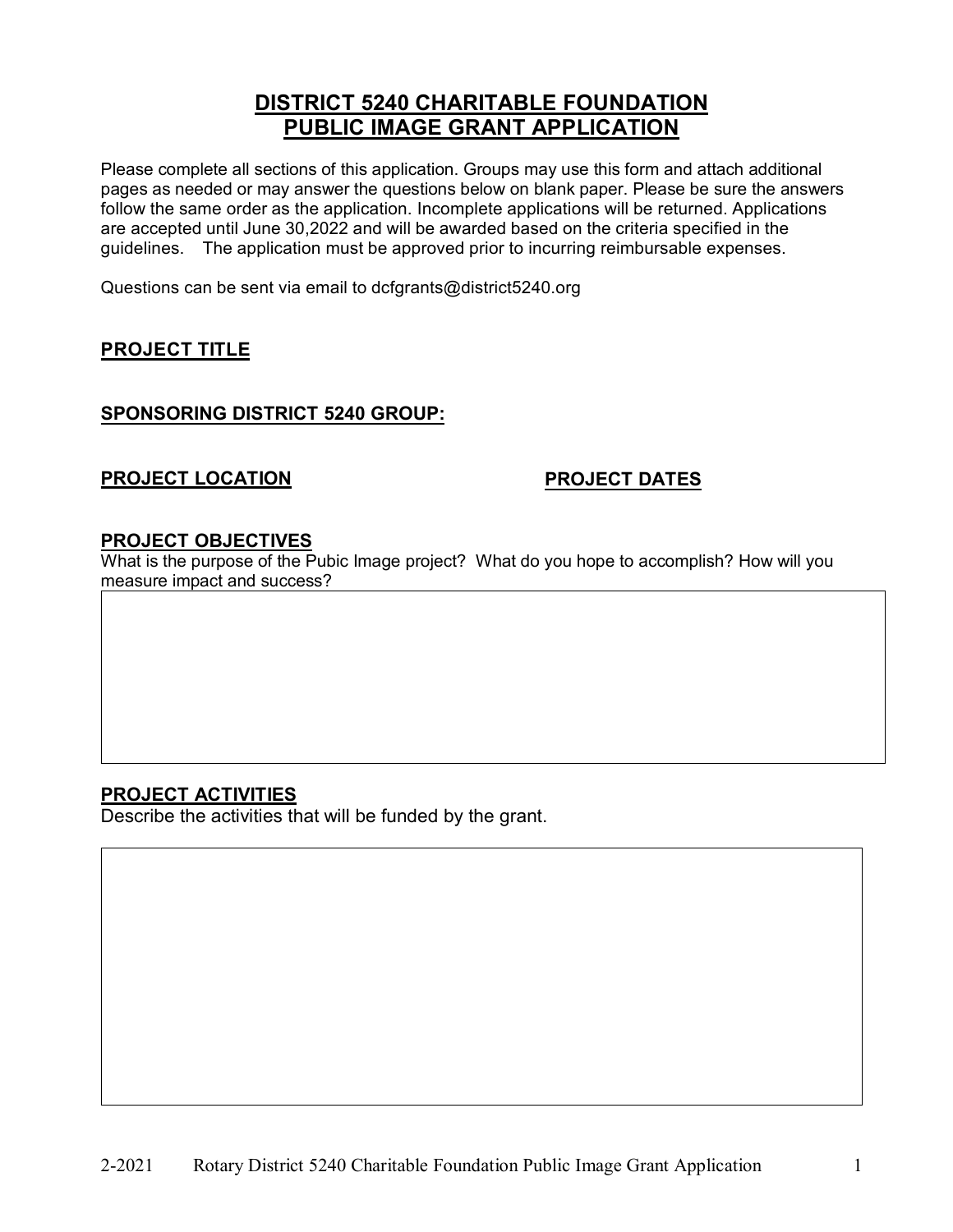# **DISTRICT 5240 CHARITABLE FOUNDATION PUBLIC IMAGE GRANT APPLICATION**

Please complete all sections of this application. Groups may use this form and attach additional pages as needed or may answer the questions below on blank paper. Please be sure the answers follow the same order as the application. Incomplete applications will be returned. Applications are accepted until June 30,2022 and will be awarded based on the criteria specified in the guidelines. The application must be approved prior to incurring reimbursable expenses.

Questions can be sent via email to dcfgrants@district5240.org

## **PROJECT TITLE**

### **SPONSORING DISTRICT 5240 GROUP:**

## **PROJECT LOCATION PROJECT DATES**

#### **PROJECT OBJECTIVES**

What is the purpose of the Pubic Image project? What do you hope to accomplish? How will you measure impact and success?

### **PROJECT ACTIVITIES**

Describe the activities that will be funded by the grant.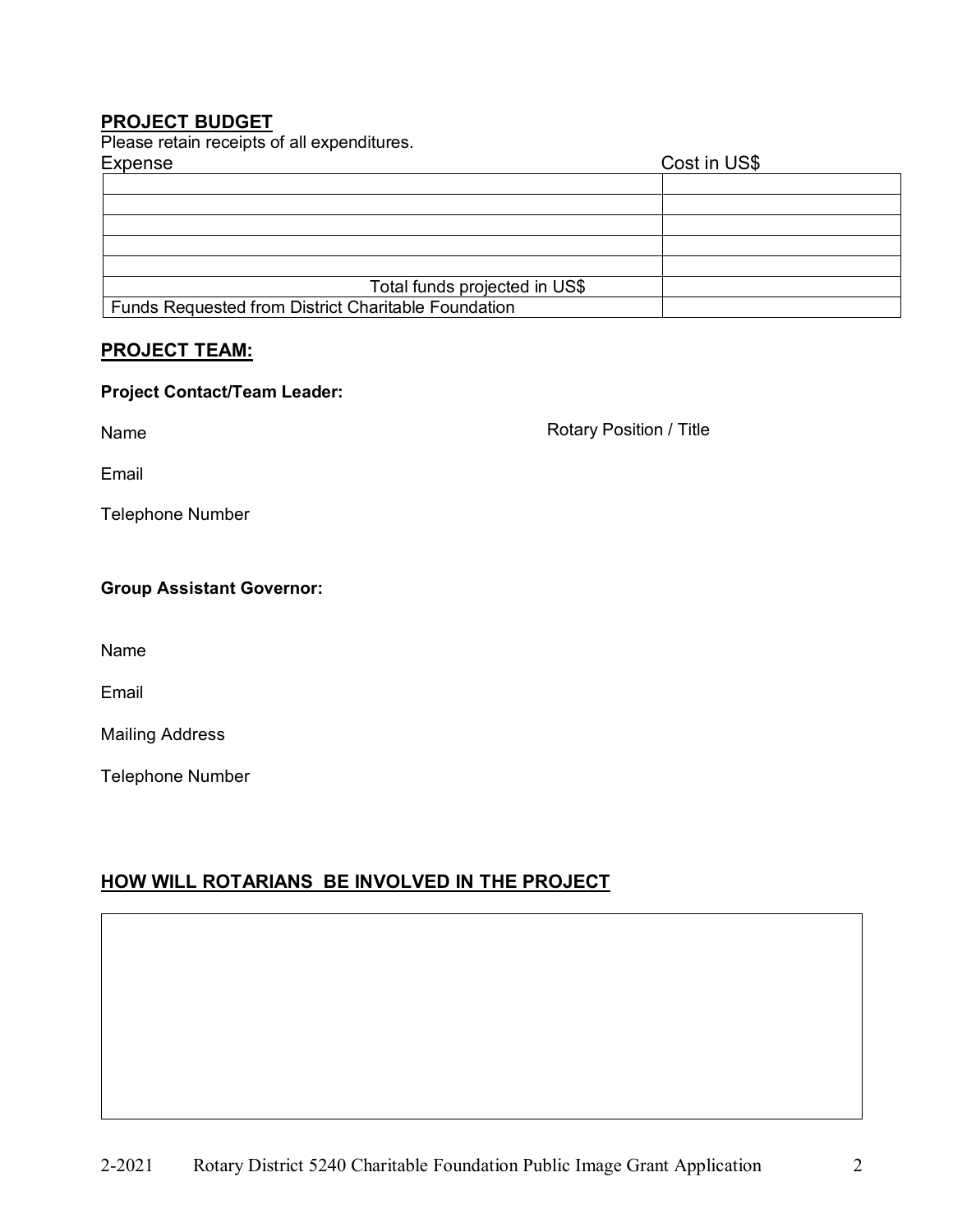## **PROJECT BUDGET**

Please retain receipts of all expenditures.

| Expense                                                    | Cost in US\$ |  |
|------------------------------------------------------------|--------------|--|
|                                                            |              |  |
|                                                            |              |  |
|                                                            |              |  |
|                                                            |              |  |
|                                                            |              |  |
| Total funds projected in US\$                              |              |  |
| <b>Funds Requested from District Charitable Foundation</b> |              |  |

### **PROJECT TEAM:**

#### **Project Contact/Team Leader:**

Name

Rotary Position / Title

Email

Telephone Number

#### **Group Assistant Governor:**

Name

Email

Mailing Address

Telephone Number

## **HOW WILL ROTARIANS BE INVOLVED IN THE PROJECT**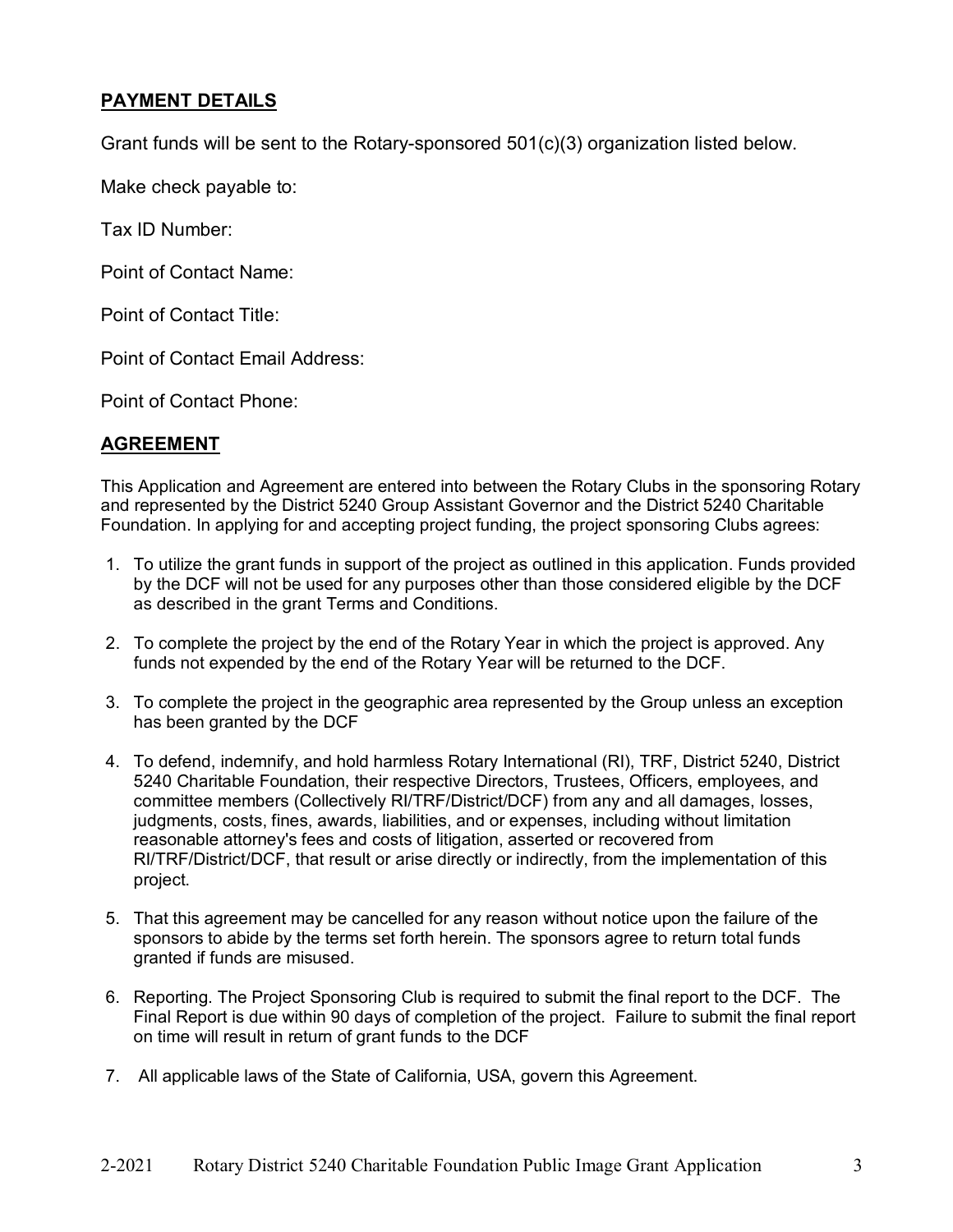## **PAYMENT DETAILS**

Grant funds will be sent to the Rotary-sponsored 501(c)(3) organization listed below.

Make check payable to:

Tax ID Number:

Point of Contact Name:

Point of Contact Title:

Point of Contact Email Address:

Point of Contact Phone:

## **AGREEMENT**

This Application and Agreement are entered into between the Rotary Clubs in the sponsoring Rotary and represented by the District 5240 Group Assistant Governor and the District 5240 Charitable Foundation. In applying for and accepting project funding, the project sponsoring Clubs agrees:

- 1. To utilize the grant funds in support of the project as outlined in this application. Funds provided by the DCF will not be used for any purposes other than those considered eligible by the DCF as described in the grant Terms and Conditions.
- 2. To complete the project by the end of the Rotary Year in which the project is approved. Any funds not expended by the end of the Rotary Year will be returned to the DCF.
- 3. To complete the project in the geographic area represented by the Group unless an exception has been granted by the DCF
- 4. To defend, indemnify, and hold harmless Rotary International (RI), TRF, District 5240, District 5240 Charitable Foundation, their respective Directors, Trustees, Officers, employees, and committee members (Collectively RI/TRF/District/DCF) from any and all damages, losses, judgments, costs, fines, awards, liabilities, and or expenses, including without limitation reasonable attorney's fees and costs of litigation, asserted or recovered from RI/TRF/District/DCF, that result or arise directly or indirectly, from the implementation of this project.
- 5. That this agreement may be cancelled for any reason without notice upon the failure of the sponsors to abide by the terms set forth herein. The sponsors agree to return total funds granted if funds are misused.
- 6. Reporting. The Project Sponsoring Club is required to submit the final report to the DCF. The Final Report is due within 90 days of completion of the project. Failure to submit the final report on time will result in return of grant funds to the DCF
- 7. All applicable laws of the State of California, USA, govern this Agreement.